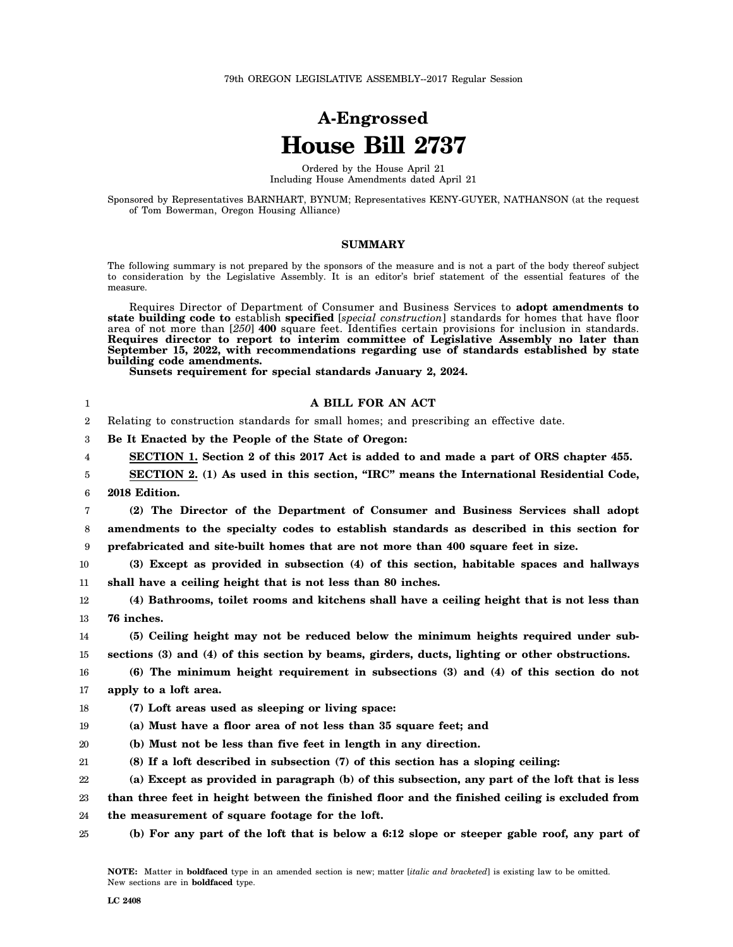## **A-Engrossed House Bill 2737**

Ordered by the House April 21 Including House Amendments dated April 21

Sponsored by Representatives BARNHART, BYNUM; Representatives KENY-GUYER, NATHANSON (at the request of Tom Bowerman, Oregon Housing Alliance)

## **SUMMARY**

The following summary is not prepared by the sponsors of the measure and is not a part of the body thereof subject to consideration by the Legislative Assembly. It is an editor's brief statement of the essential features of the measure.

Requires Director of Department of Consumer and Business Services to **adopt amendments to state building code to** establish **specified** [*special construction*] standards for homes that have floor area of not more than [*250*] **400** square feet. Identifies certain provisions for inclusion in standards. **Requires director to report to interim committee of Legislative Assembly no later than September 15, 2022, with recommendations regarding use of standards established by state building code amendments.**

**Sunsets requirement for special standards January 2, 2024.**

| 1  | A BILL FOR AN ACT                                                                              |
|----|------------------------------------------------------------------------------------------------|
| 2  | Relating to construction standards for small homes; and prescribing an effective date.         |
| 3  | Be It Enacted by the People of the State of Oregon:                                            |
| 4  | SECTION 1. Section 2 of this 2017 Act is added to and made a part of ORS chapter 455.          |
| 5  | SECTION 2. (1) As used in this section, "IRC" means the International Residential Code,        |
| 6  | 2018 Edition.                                                                                  |
| 7  | (2) The Director of the Department of Consumer and Business Services shall adopt               |
| 8  | amendments to the specialty codes to establish standards as described in this section for      |
| 9  | prefabricated and site-built homes that are not more than 400 square feet in size.             |
| 10 | (3) Except as provided in subsection (4) of this section, habitable spaces and hallways        |
| 11 | shall have a ceiling height that is not less than 80 inches.                                   |
| 12 | (4) Bathrooms, toilet rooms and kitchens shall have a ceiling height that is not less than     |
| 13 | 76 inches.                                                                                     |
| 14 | (5) Ceiling height may not be reduced below the minimum heights required under sub-            |
| 15 | sections (3) and (4) of this section by beams, girders, ducts, lighting or other obstructions. |
| 16 | $(6)$ The minimum height requirement in subsections $(3)$ and $(4)$ of this section do not     |
| 17 | apply to a loft area.                                                                          |
| 18 | (7) Loft areas used as sleeping or living space:                                               |
| 19 | (a) Must have a floor area of not less than 35 square feet; and                                |
| 20 | (b) Must not be less than five feet in length in any direction.                                |
| 21 | (8) If a loft described in subsection (7) of this section has a sloping ceiling:               |
| 22 | (a) Except as provided in paragraph (b) of this subsection, any part of the loft that is less  |
| 23 | than three feet in height between the finished floor and the finished ceiling is excluded from |
| 24 | the measurement of square footage for the loft.                                                |
| 25 | (b) For any part of the loft that is below a 6:12 slope or steeper gable roof, any part of     |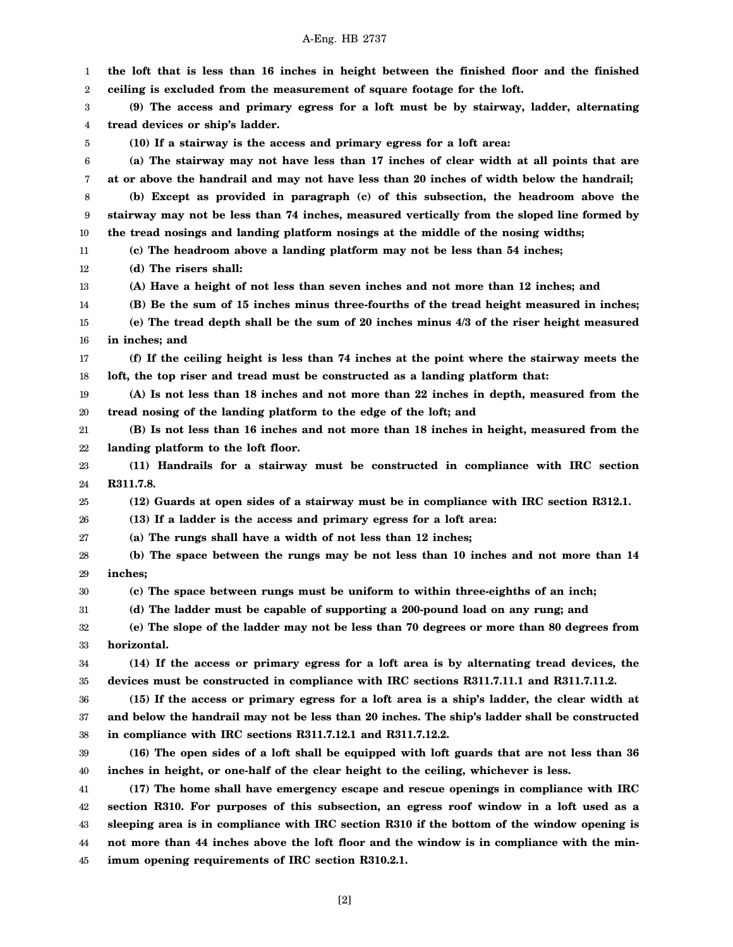- 1 2 3 4 5 6 7 8 9 10 11 12 13 14 15 16 17 18 19 20 21 22 23 24 25 26 27 28 29 30 31 32 33 34 35 36 37 38 39 40 41 42 43 44 **the loft that is less than 16 inches in height between the finished floor and the finished ceiling is excluded from the measurement of square footage for the loft. (9) The access and primary egress for a loft must be by stairway, ladder, alternating tread devices or ship's ladder. (10) If a stairway is the access and primary egress for a loft area: (a) The stairway may not have less than 17 inches of clear width at all points that are at or above the handrail and may not have less than 20 inches of width below the handrail; (b) Except as provided in paragraph (c) of this subsection, the headroom above the stairway may not be less than 74 inches, measured vertically from the sloped line formed by the tread nosings and landing platform nosings at the middle of the nosing widths; (c) The headroom above a landing platform may not be less than 54 inches; (d) The risers shall: (A) Have a height of not less than seven inches and not more than 12 inches; and (B) Be the sum of 15 inches minus three-fourths of the tread height measured in inches; (e) The tread depth shall be the sum of 20 inches minus 4/3 of the riser height measured in inches; and (f) If the ceiling height is less than 74 inches at the point where the stairway meets the loft, the top riser and tread must be constructed as a landing platform that: (A) Is not less than 18 inches and not more than 22 inches in depth, measured from the tread nosing of the landing platform to the edge of the loft; and (B) Is not less than 16 inches and not more than 18 inches in height, measured from the landing platform to the loft floor. (11) Handrails for a stairway must be constructed in compliance with IRC section R311.7.8. (12) Guards at open sides of a stairway must be in compliance with IRC section R312.1. (13) If a ladder is the access and primary egress for a loft area: (a) The rungs shall have a width of not less than 12 inches; (b) The space between the rungs may be not less than 10 inches and not more than 14 inches; (c) The space between rungs must be uniform to within three-eighths of an inch; (d) The ladder must be capable of supporting a 200-pound load on any rung; and (e) The slope of the ladder may not be less than 70 degrees or more than 80 degrees from horizontal. (14) If the access or primary egress for a loft area is by alternating tread devices, the devices must be constructed in compliance with IRC sections R311.7.11.1 and R311.7.11.2. (15) If the access or primary egress for a loft area is a ship's ladder, the clear width at and below the handrail may not be less than 20 inches. The ship's ladder shall be constructed in compliance with IRC sections R311.7.12.1 and R311.7.12.2. (16) The open sides of a loft shall be equipped with loft guards that are not less than 36 inches in height, or one-half of the clear height to the ceiling, whichever is less. (17) The home shall have emergency escape and rescue openings in compliance with IRC section R310. For purposes of this subsection, an egress roof window in a loft used as a sleeping area is in compliance with IRC section R310 if the bottom of the window opening is not more than 44 inches above the loft floor and the window is in compliance with the min-**
- A-Eng. HB 2737

**imum opening requirements of IRC section R310.2.1.**

45